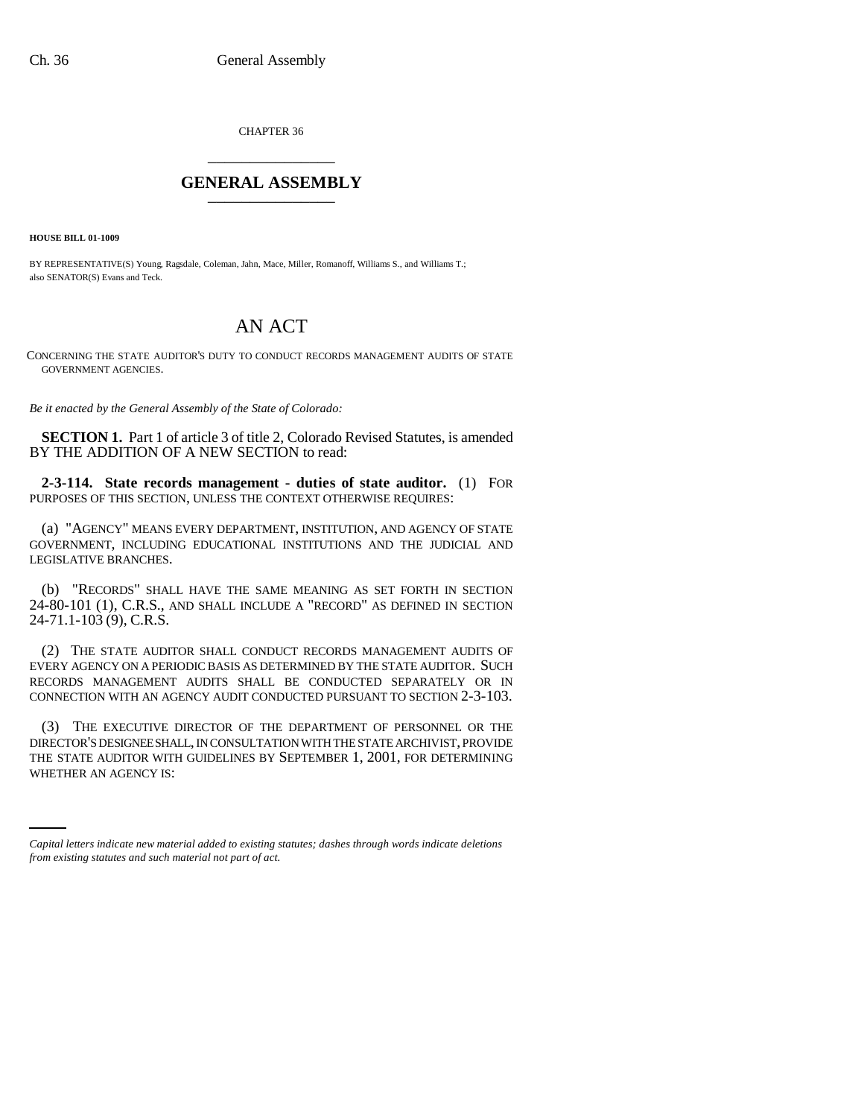CHAPTER 36 \_\_\_\_\_\_\_\_\_\_\_\_\_\_\_

## **GENERAL ASSEMBLY** \_\_\_\_\_\_\_\_\_\_\_\_\_\_\_

**HOUSE BILL 01-1009**

BY REPRESENTATIVE(S) Young, Ragsdale, Coleman, Jahn, Mace, Miller, Romanoff, Williams S., and Williams T.; also SENATOR(S) Evans and Teck.

## AN ACT

CONCERNING THE STATE AUDITOR'S DUTY TO CONDUCT RECORDS MANAGEMENT AUDITS OF STATE GOVERNMENT AGENCIES.

*Be it enacted by the General Assembly of the State of Colorado:*

**SECTION 1.** Part 1 of article 3 of title 2, Colorado Revised Statutes, is amended BY THE ADDITION OF A NEW SECTION to read:

**2-3-114. State records management - duties of state auditor.** (1) FOR PURPOSES OF THIS SECTION, UNLESS THE CONTEXT OTHERWISE REQUIRES:

(a) "AGENCY" MEANS EVERY DEPARTMENT, INSTITUTION, AND AGENCY OF STATE GOVERNMENT, INCLUDING EDUCATIONAL INSTITUTIONS AND THE JUDICIAL AND LEGISLATIVE BRANCHES.

(b) "RECORDS" SHALL HAVE THE SAME MEANING AS SET FORTH IN SECTION 24-80-101 (1), C.R.S., AND SHALL INCLUDE A "RECORD" AS DEFINED IN SECTION 24-71.1-103 (9), C.R.S.

(2) THE STATE AUDITOR SHALL CONDUCT RECORDS MANAGEMENT AUDITS OF EVERY AGENCY ON A PERIODIC BASIS AS DETERMINED BY THE STATE AUDITOR. SUCH RECORDS MANAGEMENT AUDITS SHALL BE CONDUCTED SEPARATELY OR IN CONNECTION WITH AN AGENCY AUDIT CONDUCTED PURSUANT TO SECTION 2-3-103.

THE STATE AUDITOR WITH GUIDELINES BY SEPTEMBER 1, 2001, FOR DETERMINING (3) THE EXECUTIVE DIRECTOR OF THE DEPARTMENT OF PERSONNEL OR THE DIRECTOR'S DESIGNEE SHALL, IN CONSULTATION WITH THE STATE ARCHIVIST, PROVIDE WHETHER AN AGENCY IS:

*Capital letters indicate new material added to existing statutes; dashes through words indicate deletions from existing statutes and such material not part of act.*